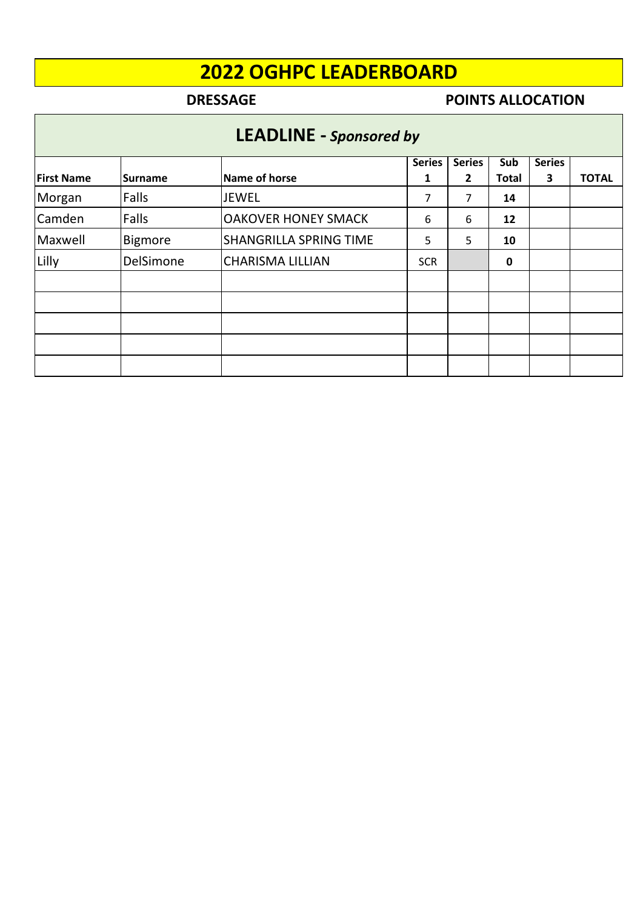## **DRESSAGE POINTS ALLOCATION**

# **LEADLINE -** *Sponsored by*

|                   |                |                               | <b>Series</b> | <b>Series</b> | Sub          | <b>Series</b> |              |
|-------------------|----------------|-------------------------------|---------------|---------------|--------------|---------------|--------------|
| <b>First Name</b> | <b>Surname</b> | Name of horse                 | 1             | 2             | <b>Total</b> | 3             | <b>TOTAL</b> |
| Morgan            | Falls          | <b>JEWEL</b>                  | 7             | 7             | 14           |               |              |
| Camden            | Falls          | <b>OAKOVER HONEY SMACK</b>    | 6             | 6             | 12           |               |              |
| Maxwell           | <b>Bigmore</b> | <b>SHANGRILLA SPRING TIME</b> | 5             | 5             | 10           |               |              |
| Lilly             | DelSimone      | <b>CHARISMA LILLIAN</b>       | <b>SCR</b>    |               | $\pmb{0}$    |               |              |
|                   |                |                               |               |               |              |               |              |
|                   |                |                               |               |               |              |               |              |
|                   |                |                               |               |               |              |               |              |
|                   |                |                               |               |               |              |               |              |
|                   |                |                               |               |               |              |               |              |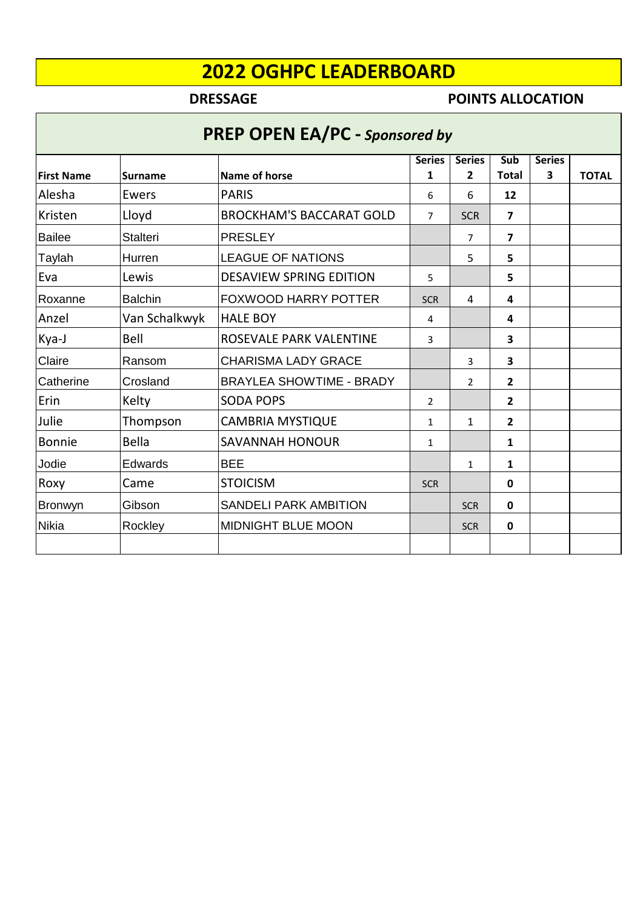## **DRESSAGE POINTS ALLOCATION**

# **PREP OPEN EA/PC -** *Sponsored by*

|                   |                 |                                 | <b>Series</b>  | <b>Series</b>  | Sub                     | <b>Series</b>           |              |
|-------------------|-----------------|---------------------------------|----------------|----------------|-------------------------|-------------------------|--------------|
| <b>First Name</b> | <b>Surname</b>  | Name of horse                   | 1              | $\overline{2}$ | <b>Total</b>            | $\overline{\mathbf{3}}$ | <b>TOTAL</b> |
| Alesha            | Ewers           | <b>PARIS</b>                    | 6              | 6              | 12                      |                         |              |
| <b>Kristen</b>    | Lloyd           | <b>BROCKHAM'S BACCARAT GOLD</b> | $\overline{7}$ | <b>SCR</b>     | $\overline{\mathbf{z}}$ |                         |              |
| <b>Bailee</b>     | <b>Stalteri</b> | <b>PRESLEY</b>                  |                | $\overline{7}$ | $\overline{\mathbf{z}}$ |                         |              |
| Taylah            | Hurren          | <b>LEAGUE OF NATIONS</b>        |                | 5              | 5.                      |                         |              |
| Eva               | Lewis           | <b>DESAVIEW SPRING EDITION</b>  | 5              |                | 5                       |                         |              |
| Roxanne           | <b>Balchin</b>  | <b>FOXWOOD HARRY POTTER</b>     | <b>SCR</b>     | $\overline{4}$ | 4                       |                         |              |
| Anzel             | Van Schalkwyk   | <b>HALE BOY</b>                 | 4              |                | 4                       |                         |              |
| Kya-J             | Bell            | ROSEVALE PARK VALENTINE         | 3              |                | 3                       |                         |              |
| Claire            | Ransom          | <b>CHARISMA LADY GRACE</b>      |                | 3              | 3                       |                         |              |
| Catherine         | Crosland        | <b>BRAYLEA SHOWTIME - BRADY</b> |                | 2              | $\overline{2}$          |                         |              |
| Erin              | Kelty           | <b>SODA POPS</b>                | $\overline{2}$ |                | $\overline{2}$          |                         |              |
| Julie             | Thompson        | <b>CAMBRIA MYSTIQUE</b>         | 1              | 1              | $\overline{2}$          |                         |              |
| <b>Bonnie</b>     | Bella           | <b>SAVANNAH HONOUR</b>          | 1              |                | 1                       |                         |              |
| Jodie             | Edwards         | <b>BEE</b>                      |                | 1              | $\mathbf{1}$            |                         |              |
| Roxy              | Came            | <b>STOICISM</b>                 | <b>SCR</b>     |                | $\mathbf 0$             |                         |              |
| Bronwyn           | Gibson          | <b>SANDELI PARK AMBITION</b>    |                | <b>SCR</b>     | $\mathbf 0$             |                         |              |
| <b>Nikia</b>      | Rockley         | <b>MIDNIGHT BLUE MOON</b>       |                | <b>SCR</b>     | 0                       |                         |              |
|                   |                 |                                 |                |                |                         |                         |              |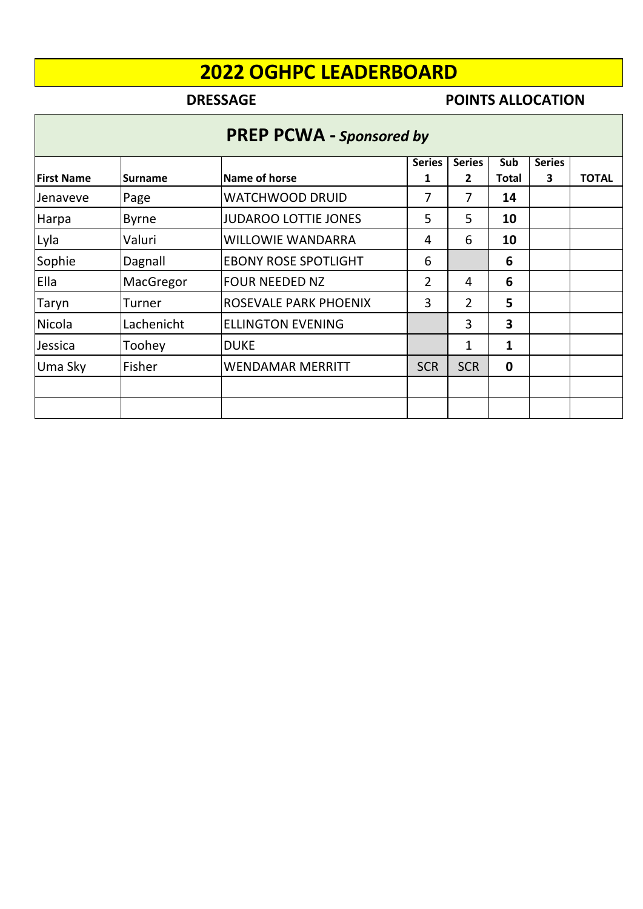## **DRESSAGE POINTS ALLOCATION**

|  | <b>PREP PCWA - Sponsored by</b> |  |
|--|---------------------------------|--|
|--|---------------------------------|--|

|                   |                |                             | <b>Series</b>  | <b>Series</b> | Sub         | <b>Series</b> |              |
|-------------------|----------------|-----------------------------|----------------|---------------|-------------|---------------|--------------|
| <b>First Name</b> | <b>Surname</b> | Name of horse               | 1              | 2             | Total       | 3             | <b>TOTAL</b> |
| Jenaveve          | Page           | <b>WATCHWOOD DRUID</b>      | 7              | 7             | 14          |               |              |
| Harpa             | <b>Byrne</b>   | <b>JUDAROO LOTTIE JONES</b> | 5              | 5             | 10          |               |              |
| Lyla              | Valuri         | <b>WILLOWIE WANDARRA</b>    | 4              | 6             | 10          |               |              |
| Sophie            | Dagnall        | <b>EBONY ROSE SPOTLIGHT</b> | 6              |               | 6           |               |              |
| Ella              | MacGregor      | <b>FOUR NEEDED NZ</b>       | $\overline{2}$ | 4             | 6           |               |              |
| Taryn             | Turner         | ROSEVALE PARK PHOENIX       | 3              | 2             | 5           |               |              |
| Nicola            | Lachenicht     | <b>ELLINGTON EVENING</b>    |                | 3             | 3           |               |              |
| Jessica           | Toohey         | <b>DUKE</b>                 |                | 1             | 1           |               |              |
| Uma Sky           | Fisher         | <b>WENDAMAR MERRITT</b>     | <b>SCR</b>     | <b>SCR</b>    | $\mathbf 0$ |               |              |
|                   |                |                             |                |               |             |               |              |
|                   |                |                             |                |               |             |               |              |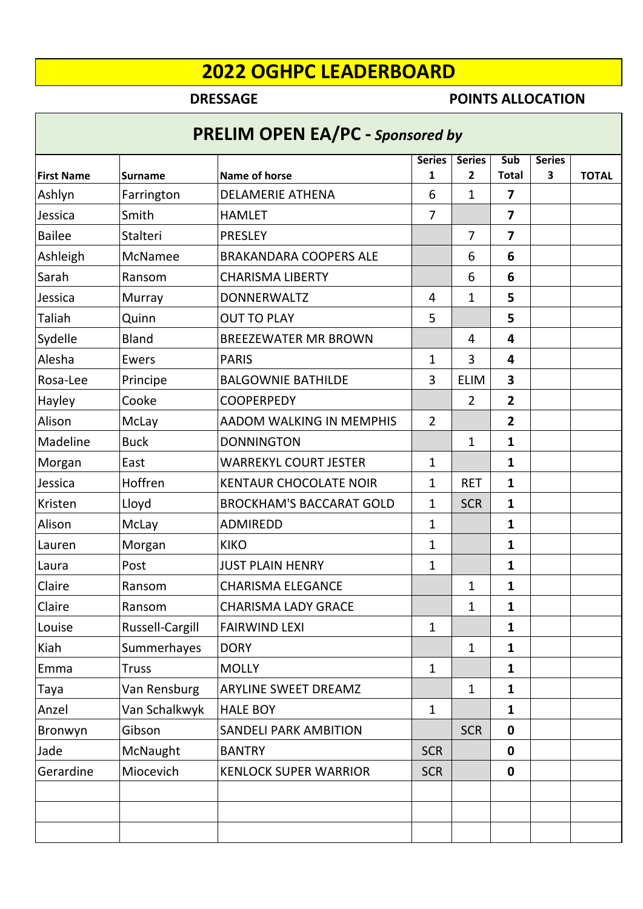## **DRESSAGE POINTS ALLOCATION**

# **PRELIM OPEN EA/PC -** *Sponsored by*

| <b>First Name</b> | <b>Surname</b>  | <b>Name of horse</b>            | <b>Series</b><br>1 | <b>Series</b><br>2 | Sub<br><b>Total</b>     | <b>Series</b><br>3 | <b>TOTAL</b> |
|-------------------|-----------------|---------------------------------|--------------------|--------------------|-------------------------|--------------------|--------------|
| Ashlyn            | Farrington      | <b>DELAMERIE ATHENA</b>         | 6                  | $\mathbf{1}$       | $\overline{7}$          |                    |              |
| Jessica           | Smith           | <b>HAMLET</b>                   | $\overline{7}$     |                    | $\overline{\mathbf{z}}$ |                    |              |
| <b>Bailee</b>     | <b>Stalteri</b> | PRESLEY                         |                    | $\overline{7}$     | $\overline{\mathbf{z}}$ |                    |              |
| Ashleigh          | <b>McNamee</b>  | <b>BRAKANDARA COOPERS ALE</b>   |                    | 6                  | 6                       |                    |              |
| Sarah             | Ransom          | <b>CHARISMA LIBERTY</b>         |                    | 6                  | 6                       |                    |              |
| Jessica           | Murray          | <b>DONNERWALTZ</b>              | 4                  | 1                  | 5                       |                    |              |
| Taliah            | Quinn           | <b>OUT TO PLAY</b>              | 5                  |                    | 5                       |                    |              |
| Sydelle           | Bland           | <b>BREEZEWATER MR BROWN</b>     |                    | $\overline{4}$     | 4                       |                    |              |
| Alesha            | Ewers           | <b>PARIS</b>                    | $\mathbf{1}$       | 3                  | $\overline{\mathbf{4}}$ |                    |              |
| Rosa-Lee          | Principe        | <b>BALGOWNIE BATHILDE</b>       | 3                  | <b>ELIM</b>        | $\mathbf{3}$            |                    |              |
| Hayley            | Cooke           | <b>COOPERPEDY</b>               |                    | $\overline{2}$     | $\overline{2}$          |                    |              |
| Alison            | McLay           | AADOM WALKING IN MEMPHIS        | $\overline{2}$     |                    | $\overline{2}$          |                    |              |
| Madeline          | <b>Buck</b>     | <b>DONNINGTON</b>               |                    | $\mathbf{1}$       | $\mathbf{1}$            |                    |              |
| Morgan            | East            | <b>WARREKYL COURT JESTER</b>    | $\mathbf{1}$       |                    | $\mathbf{1}$            |                    |              |
| Jessica           | Hoffren         | <b>KENTAUR CHOCOLATE NOIR</b>   | $\mathbf{1}$       | <b>RET</b>         | $\mathbf{1}$            |                    |              |
| Kristen           | Lloyd           | <b>BROCKHAM'S BACCARAT GOLD</b> | $\mathbf{1}$       | <b>SCR</b>         | $\mathbf{1}$            |                    |              |
| Alison            | McLay           | ADMIREDD                        | $\mathbf{1}$       |                    | $\mathbf{1}$            |                    |              |
| Lauren            | Morgan          | <b>KIKO</b>                     | $\mathbf{1}$       |                    | $\mathbf{1}$            |                    |              |
| Laura             | Post            | <b>JUST PLAIN HENRY</b>         | $\mathbf{1}$       |                    | $\mathbf{1}$            |                    |              |
| Claire            | Ransom          | <b>CHARISMA ELEGANCE</b>        |                    | $\mathbf{1}$       | $\mathbf{1}$            |                    |              |
| Claire            | Ransom          | <b>CHARISMA LADY GRACE</b>      |                    | 1                  | $\mathbf{1}$            |                    |              |
| Louise            | Russell-Cargill | <b>FAIRWIND LEXI</b>            | 1                  |                    | 1                       |                    |              |
| Kiah              | Summerhayes     | <b>DORY</b>                     |                    | $\mathbf{1}$       | $\mathbf{1}$            |                    |              |
| Emma              | <b>Truss</b>    | <b>MOLLY</b>                    | $\mathbf{1}$       |                    | $\mathbf{1}$            |                    |              |
| Taya              | Van Rensburg    | ARYLINE SWEET DREAMZ            |                    | $\mathbf{1}$       | $\mathbf{1}$            |                    |              |
| Anzel             | Van Schalkwyk   | <b>HALE BOY</b>                 | $\mathbf{1}$       |                    | $\mathbf{1}$            |                    |              |
| Bronwyn           | Gibson          | <b>SANDELI PARK AMBITION</b>    |                    | <b>SCR</b>         | $\mathbf 0$             |                    |              |
| Jade              | McNaught        | <b>BANTRY</b>                   | <b>SCR</b>         |                    | $\mathbf 0$             |                    |              |
| Gerardine         | Miocevich       | <b>KENLOCK SUPER WARRIOR</b>    | <b>SCR</b>         |                    | $\mathbf 0$             |                    |              |
|                   |                 |                                 |                    |                    |                         |                    |              |
|                   |                 |                                 |                    |                    |                         |                    |              |
|                   |                 |                                 |                    |                    |                         |                    |              |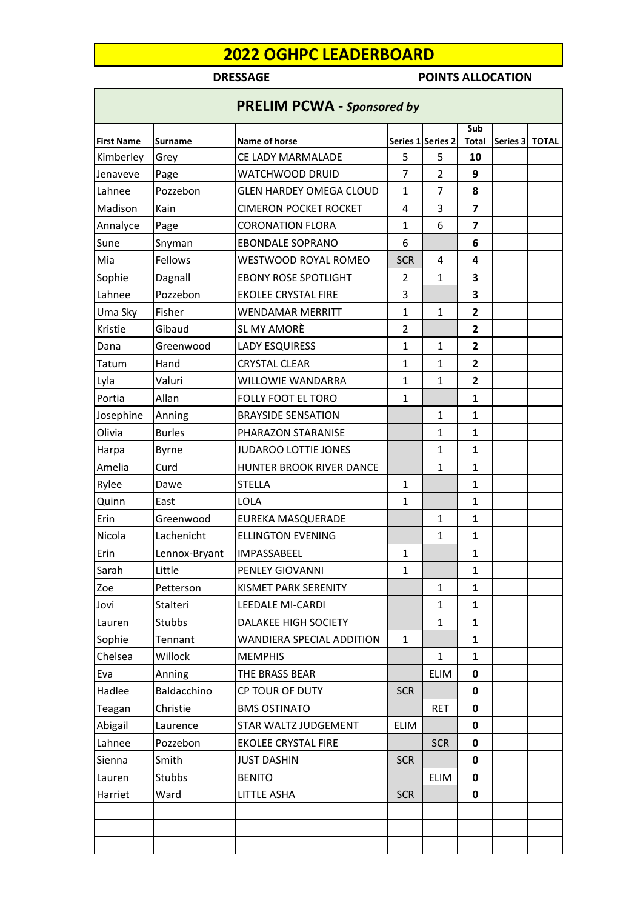## **DRESSAGE POINTS ALLOCATION**

|                   |                | <b>PRELIM PCWA - Sponsored by</b> |                |                   |                |          |              |
|-------------------|----------------|-----------------------------------|----------------|-------------------|----------------|----------|--------------|
|                   |                |                                   |                |                   | Sub            |          |              |
| <b>First Name</b> | <b>Surname</b> | Name of horse                     |                | Series 1 Series 2 | <b>Total</b>   | Series 3 | <b>TOTAL</b> |
| Kimberley         | Grey           | CE LADY MARMALADE                 | 5              | 5                 | 10             |          |              |
| Jenaveve          | Page           | WATCHWOOD DRUID                   | 7              | $\overline{2}$    | 9              |          |              |
| Lahnee            | Pozzebon       | <b>GLEN HARDEY OMEGA CLOUD</b>    | $\mathbf{1}$   | 7                 | 8              |          |              |
| Madison           | Kain           | <b>CIMERON POCKET ROCKET</b>      | 4              | 3                 | $\overline{7}$ |          |              |
| Annalyce          | Page           | <b>CORONATION FLORA</b>           | 1              | 6                 | 7              |          |              |
| Sune              | Snyman         | <b>EBONDALE SOPRANO</b>           | 6              |                   | 6              |          |              |
| Mia               | Fellows        | WESTWOOD ROYAL ROMEO              | <b>SCR</b>     | $\overline{4}$    | 4              |          |              |
| Sophie            | Dagnall        | <b>EBONY ROSE SPOTLIGHT</b>       | 2              | $\mathbf{1}$      | 3              |          |              |
| Lahnee            | Pozzebon       | <b>EKOLEE CRYSTAL FIRE</b>        | 3              |                   | 3              |          |              |
| Uma Sky           | Fisher         | <b>WENDAMAR MERRITT</b>           | $\mathbf{1}$   | $\mathbf{1}$      | $\mathbf{2}$   |          |              |
| Kristie           | Gibaud         | SL MY AMORÈ                       | $\overline{2}$ |                   | 2              |          |              |
| Dana              | Greenwood      | LADY ESQUIRESS                    | $\mathbf{1}$   | $\mathbf{1}$      | 2              |          |              |
| Tatum             | Hand           | <b>CRYSTAL CLEAR</b>              | 1              | $\mathbf{1}$      | $\mathbf{2}$   |          |              |
| Lyla              | Valuri         | WILLOWIE WANDARRA                 | $\mathbf{1}$   | $\mathbf{1}$      | $\overline{2}$ |          |              |
| Portia            | Allan          | <b>FOLLY FOOT EL TORO</b>         | $\mathbf{1}$   |                   | 1              |          |              |
| Josephine         | Anning         | <b>BRAYSIDE SENSATION</b>         |                | $\mathbf{1}$      | $\mathbf{1}$   |          |              |
| Olivia            | <b>Burles</b>  | PHARAZON STARANISE                |                | 1                 | 1              |          |              |
| Harpa             | Byrne          | JUDAROO LOTTIE JONES              |                | $\mathbf{1}$      | $\mathbf{1}$   |          |              |
| Amelia            | Curd           | HUNTER BROOK RIVER DANCE          |                | $\mathbf{1}$      | $\mathbf{1}$   |          |              |
| Rylee             | Dawe           | STELLA                            | 1              |                   | 1              |          |              |
| Quinn             | East           | <b>LOLA</b>                       | $\mathbf{1}$   |                   | $\mathbf{1}$   |          |              |
| Erin              | Greenwood      | EUREKA MASQUERADE                 |                | $\mathbf{1}$      | $\mathbf{1}$   |          |              |
| Nicola            | Lachenicht     | <b>ELLINGTON EVENING</b>          |                | $\mathbf{1}$      | $\mathbf{1}$   |          |              |
| Erin              | Lennox-Bryant  | IMPASSABEEL                       | $\mathbf{1}$   |                   | $\mathbf{1}$   |          |              |
| Sarah             | Little         | PENLEY GIOVANNI                   | 1              |                   | 1              |          |              |
| Zoe               | Petterson      | KISMET PARK SERENITY              |                | $\mathbf 1$       | 1              |          |              |
| Jovi              | Stalteri       | <b>LEEDALE MI-CARDI</b>           |                | $\mathbf{1}$      | $\mathbf{1}$   |          |              |
| Lauren            | Stubbs         | DALAKEE HIGH SOCIETY              |                | 1                 | 1              |          |              |
| Sophie            | Tennant        | WANDIERA SPECIAL ADDITION         | 1              |                   | 1              |          |              |
| Chelsea           | Willock        | <b>MEMPHIS</b>                    |                | $\mathbf{1}$      | $\mathbf{1}$   |          |              |
| Eva               | Anning         | THE BRASS BEAR                    |                | <b>ELIM</b>       | 0              |          |              |
| Hadlee            | Baldacchino    | CP TOUR OF DUTY                   | <b>SCR</b>     |                   | 0              |          |              |
| Teagan            | Christie       | <b>BMS OSTINATO</b>               |                | <b>RET</b>        | 0              |          |              |
| Abigail           | Laurence       | STAR WALTZ JUDGEMENT              | <b>ELIM</b>    |                   | 0              |          |              |
| Lahnee            | Pozzebon       | <b>EKOLEE CRYSTAL FIRE</b>        |                | <b>SCR</b>        | 0              |          |              |
| Sienna            | Smith          | <b>JUST DASHIN</b>                | <b>SCR</b>     |                   | 0              |          |              |
| Lauren            | Stubbs         | <b>BENITO</b>                     |                | <b>ELIM</b>       | 0              |          |              |
| Harriet           | Ward           | <b>LITTLE ASHA</b>                | <b>SCR</b>     |                   | 0              |          |              |
|                   |                |                                   |                |                   |                |          |              |
|                   |                |                                   |                |                   |                |          |              |
|                   |                |                                   |                |                   |                |          |              |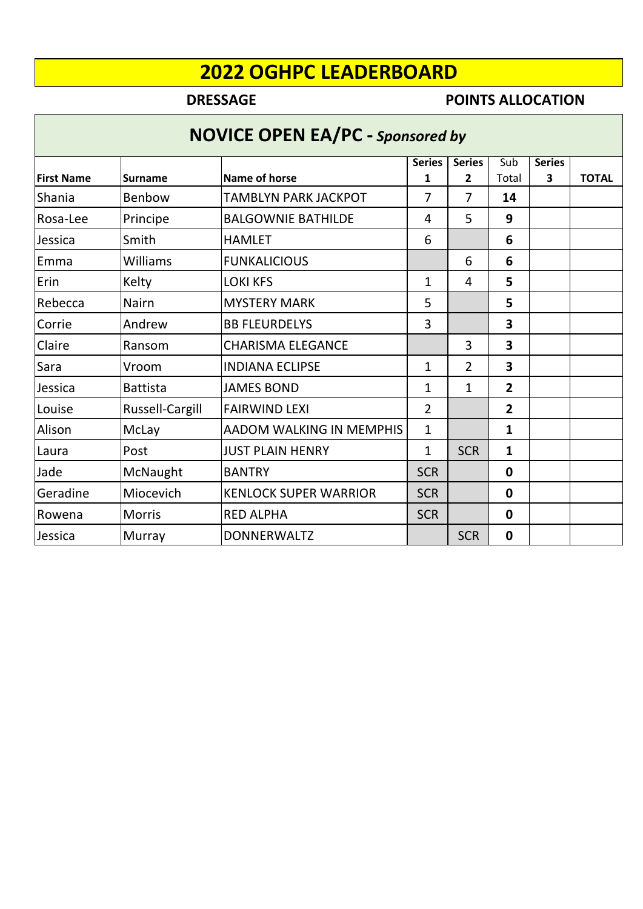## **DRESSAGE POINTS ALLOCATION**

# **NOVICE OPEN EA/PC -** *Sponsored by*

|                   |                 |                              | <b>Series</b>  | <b>Series</b>  | Sub            | <b>Series</b> |              |  |  |
|-------------------|-----------------|------------------------------|----------------|----------------|----------------|---------------|--------------|--|--|
| <b>First Name</b> | <b>Surname</b>  | Name of horse                | 1              | $\mathbf{2}$   | Total          | 3             | <b>TOTAL</b> |  |  |
| Shania            | Benbow          | <b>TAMBLYN PARK JACKPOT</b>  | 7              | 7              | 14             |               |              |  |  |
| Rosa-Lee          | Principe        | <b>BALGOWNIE BATHILDE</b>    | 4              | 5              | 9              |               |              |  |  |
| Jessica           | Smith           | <b>HAMLET</b>                | 6              |                | 6              |               |              |  |  |
| Emma              | Williams        | <b>FUNKALICIOUS</b>          |                | 6              | 6              |               |              |  |  |
| Erin              | Kelty           | <b>LOKI KFS</b>              | 1              | 4              | 5              |               |              |  |  |
| Rebecca           | <b>Nairn</b>    | <b>MYSTERY MARK</b>          | 5              |                | 5              |               |              |  |  |
| Corrie            | Andrew          | <b>BB FLEURDELYS</b>         | 3              |                | 3              |               |              |  |  |
| Claire            | Ransom          | <b>CHARISMA ELEGANCE</b>     |                | 3              | 3              |               |              |  |  |
| Sara              | Vroom           | <b>INDIANA ECLIPSE</b>       | 1              | $\overline{2}$ | 3              |               |              |  |  |
| Jessica           | <b>Battista</b> | <b>JAMES BOND</b>            | 1              | $\mathbf{1}$   | $\overline{2}$ |               |              |  |  |
| Louise            | Russell-Cargill | <b>FAIRWIND LEXI</b>         | $\overline{2}$ |                | 2              |               |              |  |  |
| Alison            | <b>McLay</b>    | AADOM WALKING IN MEMPHIS     | 1              |                | 1              |               |              |  |  |
| Laura             | Post            | <b>JUST PLAIN HENRY</b>      | 1              | <b>SCR</b>     | 1              |               |              |  |  |
| Jade              | McNaught        | <b>BANTRY</b>                | <b>SCR</b>     |                | 0              |               |              |  |  |
| Geradine          | Miocevich       | <b>KENLOCK SUPER WARRIOR</b> | <b>SCR</b>     |                | 0              |               |              |  |  |
| Rowena            | <b>Morris</b>   | <b>RED ALPHA</b>             | <b>SCR</b>     |                | 0              |               |              |  |  |
| Jessica           | Murray          | <b>DONNERWALTZ</b>           |                | <b>SCR</b>     | $\mathbf 0$    |               |              |  |  |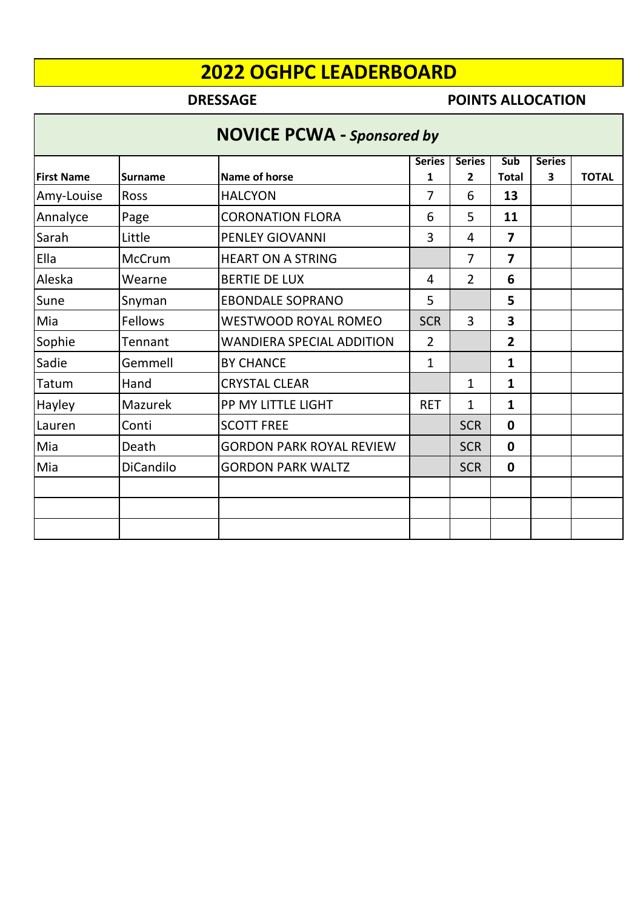## **DRESSAGE POINTS ALLOCATION**

## **NOVICE PCWA -** *Sponsored by*

|                   |                  |                                  | <b>Series</b>  | <b>Series</b>  | Sub                     | <b>Series</b> |              |
|-------------------|------------------|----------------------------------|----------------|----------------|-------------------------|---------------|--------------|
| <b>First Name</b> | <b>Surname</b>   | <b>Name of horse</b>             | 1              | 2              | <b>Total</b>            | 3             | <b>TOTAL</b> |
| Amy-Louise        | <b>Ross</b>      | <b>HALCYON</b>                   | 7              | 6              | 13                      |               |              |
| Annalyce          | Page             | <b>CORONATION FLORA</b>          | 6              | 5              | 11                      |               |              |
| Sarah             | Little           | PENLEY GIOVANNI                  | 3              | 4              | $\overline{\mathbf{z}}$ |               |              |
| Ella              | McCrum           | <b>HEART ON A STRING</b>         |                | 7              | $\overline{\mathbf{z}}$ |               |              |
| Aleska            | Wearne           | <b>BERTIE DE LUX</b>             | 4              | $\overline{2}$ | 6                       |               |              |
| Sune              | Snyman           | <b>EBONDALE SOPRANO</b>          | 5              |                | 5                       |               |              |
| Mia               | Fellows          | <b>WESTWOOD ROYAL ROMEO</b>      | <b>SCR</b>     | 3              | $\overline{\mathbf{3}}$ |               |              |
| Sophie            | Tennant          | <b>WANDIERA SPECIAL ADDITION</b> | $\overline{2}$ |                | $\overline{2}$          |               |              |
| Sadie             | Gemmell          | <b>BY CHANCE</b>                 | 1              |                | $\mathbf{1}$            |               |              |
| Tatum             | Hand             | <b>CRYSTAL CLEAR</b>             |                | 1              | $\mathbf{1}$            |               |              |
| Hayley            | Mazurek          | PP MY LITTLE LIGHT               | <b>RET</b>     | 1              | $\mathbf{1}$            |               |              |
| Lauren            | Conti            | <b>SCOTT FREE</b>                |                | <b>SCR</b>     | $\mathbf{0}$            |               |              |
| Mia               | Death            | <b>GORDON PARK ROYAL REVIEW</b>  |                | <b>SCR</b>     | $\mathbf{0}$            |               |              |
| Mia               | <b>DiCandilo</b> | <b>GORDON PARK WALTZ</b>         |                | <b>SCR</b>     | $\mathbf 0$             |               |              |
|                   |                  |                                  |                |                |                         |               |              |
|                   |                  |                                  |                |                |                         |               |              |
|                   |                  |                                  |                |                |                         |               |              |
|                   |                  |                                  |                |                |                         |               |              |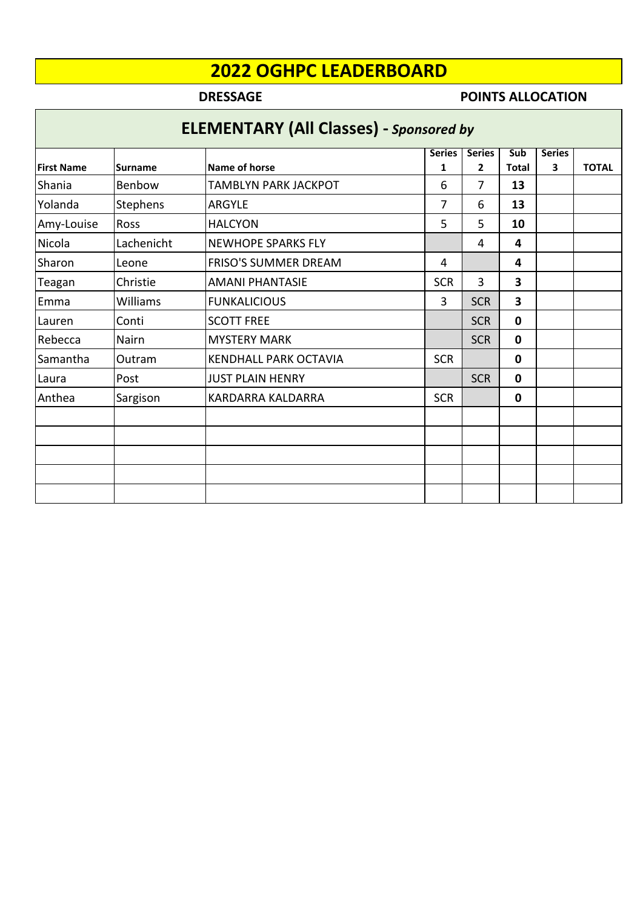Г

## **DRESSAGE POINTS ALLOCATION**

| <b>ELEMENTARY (All Classes) - Sponsored by</b> |                 |                              |               |               |              |               |              |  |  |  |
|------------------------------------------------|-----------------|------------------------------|---------------|---------------|--------------|---------------|--------------|--|--|--|
|                                                |                 |                              | <b>Series</b> | <b>Series</b> | <b>Sub</b>   | <b>Series</b> |              |  |  |  |
| <b>First Name</b>                              | <b>Surname</b>  | <b>Name of horse</b>         | 1             | $\mathbf{2}$  | <b>Total</b> | 3             | <b>TOTAL</b> |  |  |  |
| Shania                                         | Benbow          | <b>TAMBLYN PARK JACKPOT</b>  | 6             | 7             | 13           |               |              |  |  |  |
| Yolanda                                        | <b>Stephens</b> | <b>ARGYLE</b>                | 7             | 6             | 13           |               |              |  |  |  |
| Amy-Louise                                     | <b>Ross</b>     | <b>HALCYON</b>               | 5             | 5             | 10           |               |              |  |  |  |
| Nicola                                         | Lachenicht      | <b>NEWHOPE SPARKS FLY</b>    |               | 4             | 4            |               |              |  |  |  |
| Sharon                                         | Leone           | <b>FRISO'S SUMMER DREAM</b>  | 4             |               | 4            |               |              |  |  |  |
| Teagan                                         | Christie        | <b>AMANI PHANTASIE</b>       | <b>SCR</b>    | 3             | 3            |               |              |  |  |  |
| Emma                                           | Williams        | <b>FUNKALICIOUS</b>          | 3             | <b>SCR</b>    | 3            |               |              |  |  |  |
| Lauren                                         | Conti           | <b>SCOTT FREE</b>            |               | <b>SCR</b>    | $\mathbf{0}$ |               |              |  |  |  |
| Rebecca                                        | Nairn           | <b>MYSTERY MARK</b>          |               | <b>SCR</b>    | $\mathbf{0}$ |               |              |  |  |  |
| Samantha                                       | Outram          | <b>KENDHALL PARK OCTAVIA</b> | <b>SCR</b>    |               | $\mathbf{0}$ |               |              |  |  |  |
| Laura                                          | Post            | <b>JUST PLAIN HENRY</b>      |               | <b>SCR</b>    | $\mathbf{0}$ |               |              |  |  |  |
| Anthea                                         | Sargison        | <b>KARDARRA KALDARRA</b>     | <b>SCR</b>    |               | 0            |               |              |  |  |  |
|                                                |                 |                              |               |               |              |               |              |  |  |  |
|                                                |                 |                              |               |               |              |               |              |  |  |  |
|                                                |                 |                              |               |               |              |               |              |  |  |  |
|                                                |                 |                              |               |               |              |               |              |  |  |  |
|                                                |                 |                              |               |               |              |               |              |  |  |  |